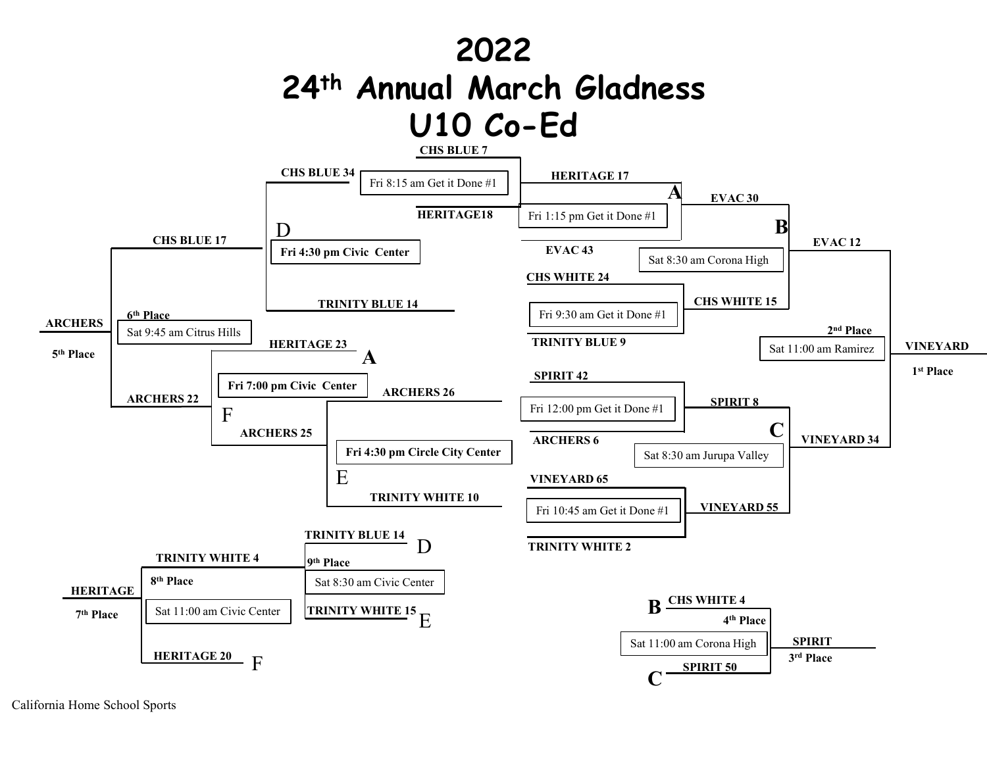

California Home School Sports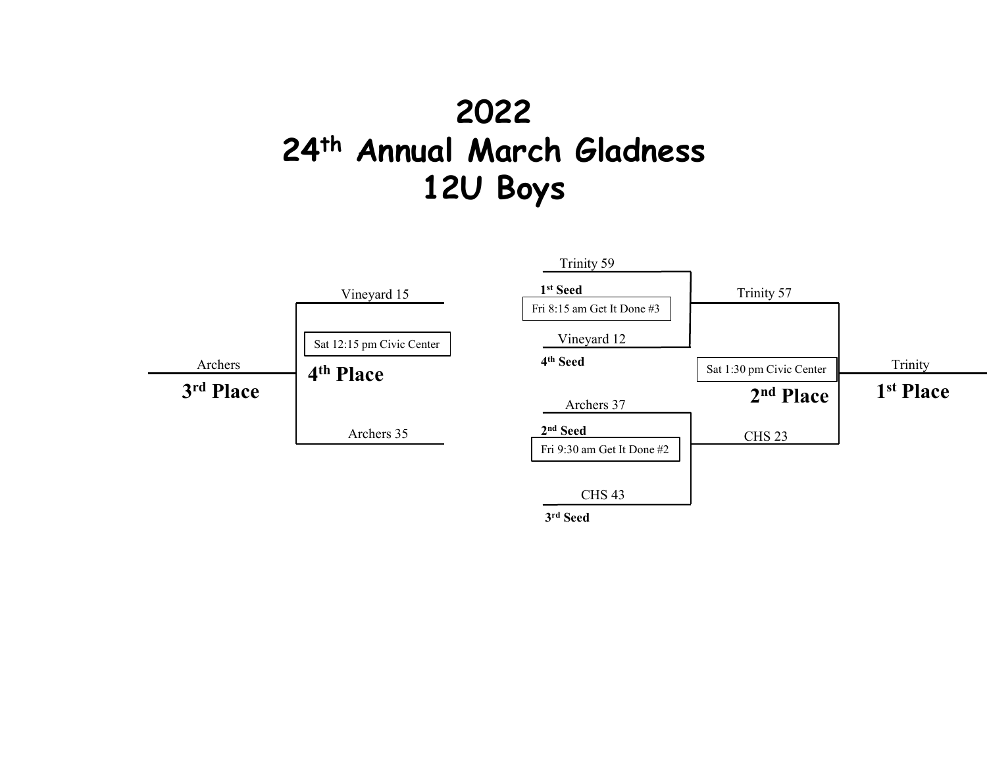## 2022 24<sup>th</sup> Annual March Gladness 12U Boys



3 rd Seed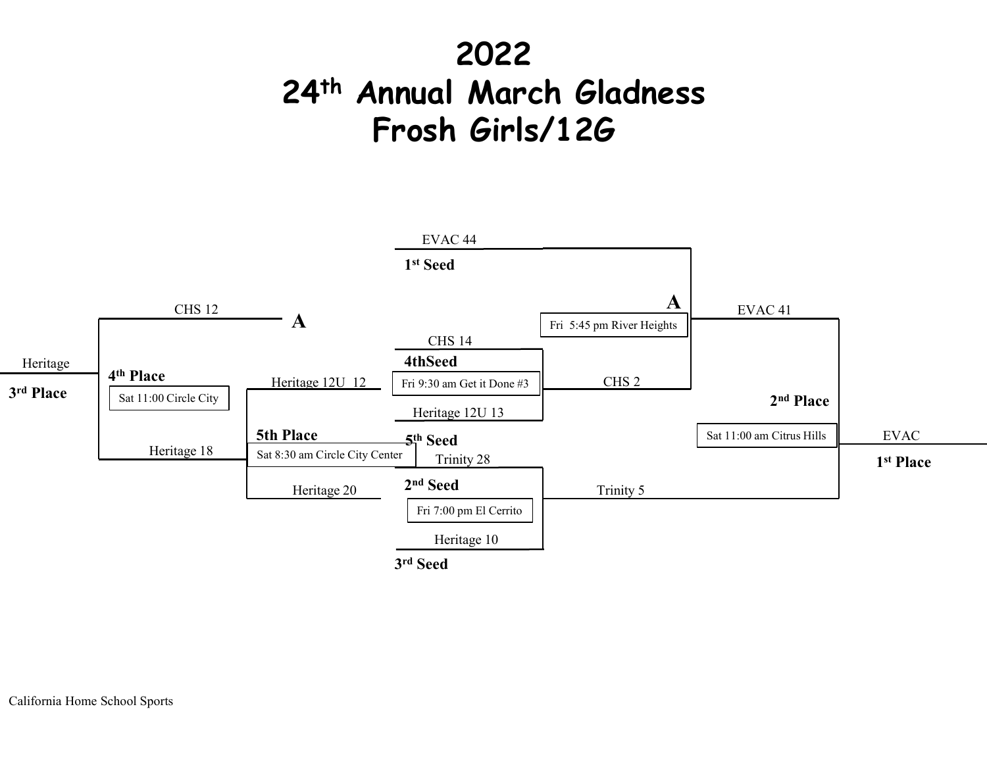## 2022 24th Annual March Gladness Frosh Girls/12G

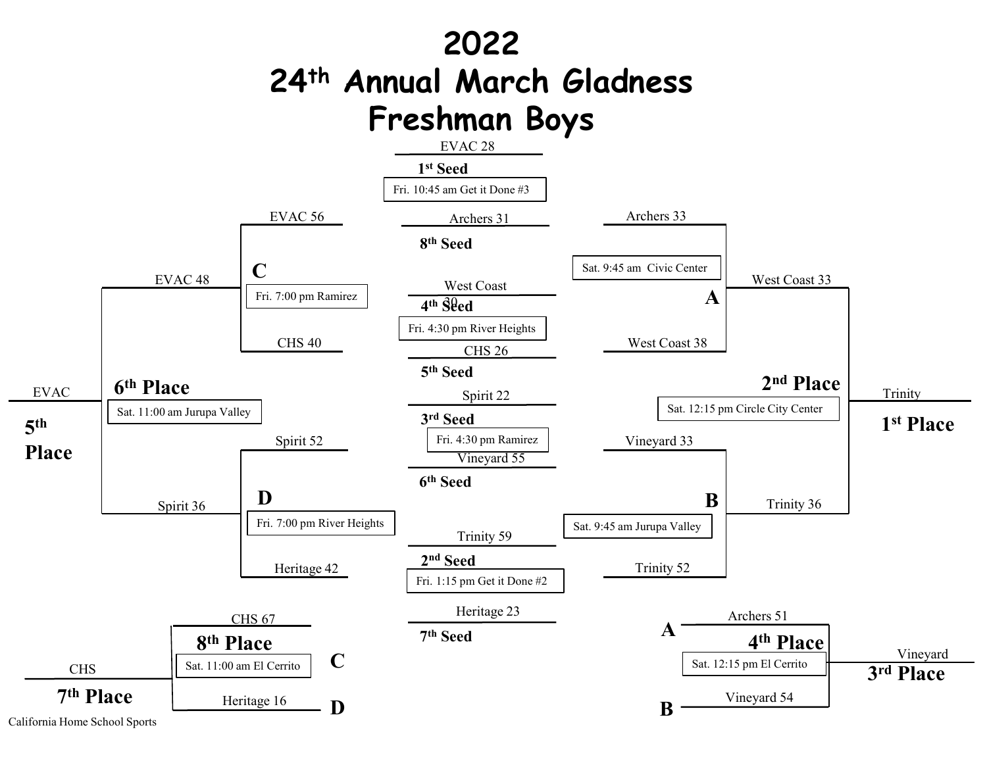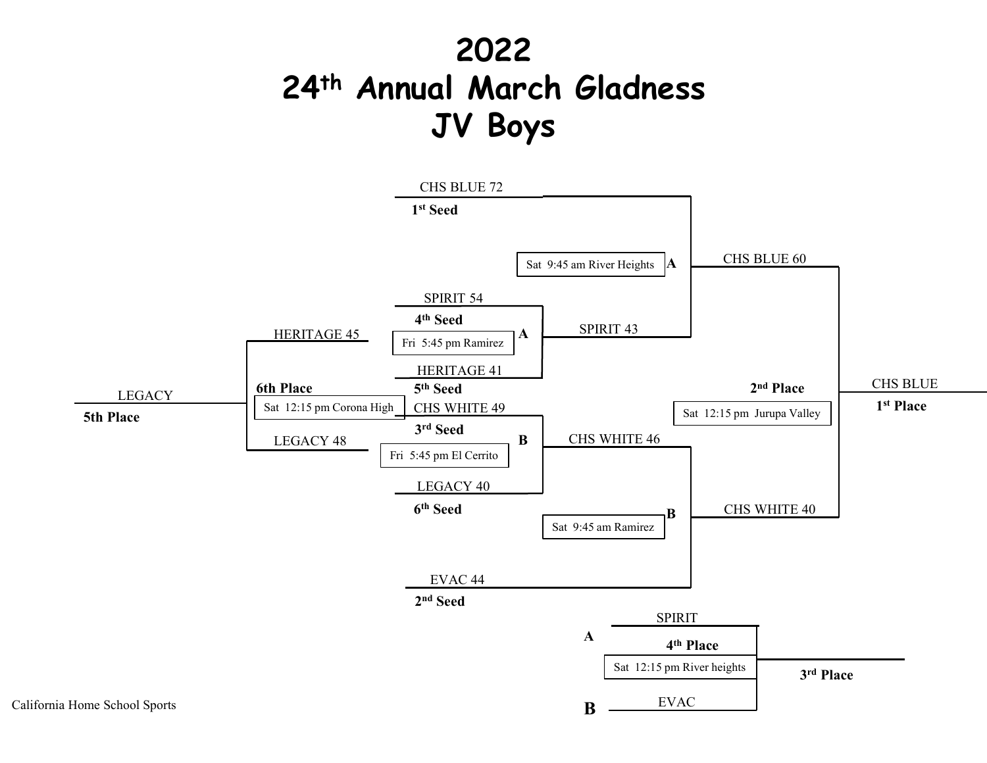## 2022 24th Annual March Gladness JV Boys

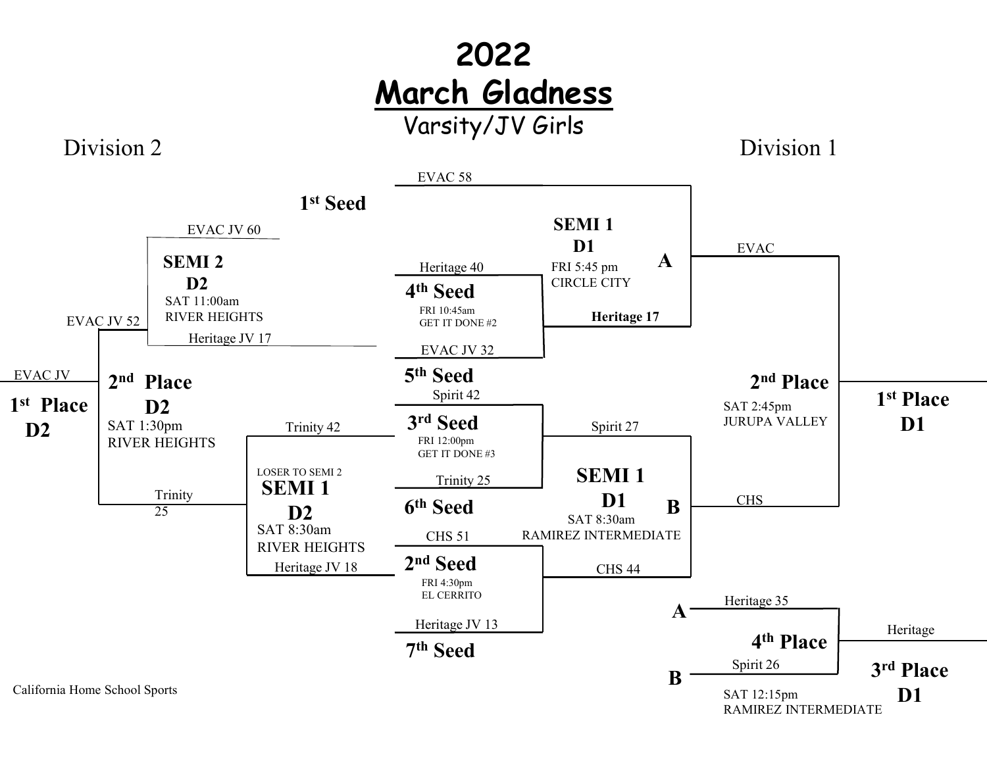## 2022 March Gladness Varsity/JV Girls

Division 2

Division 1